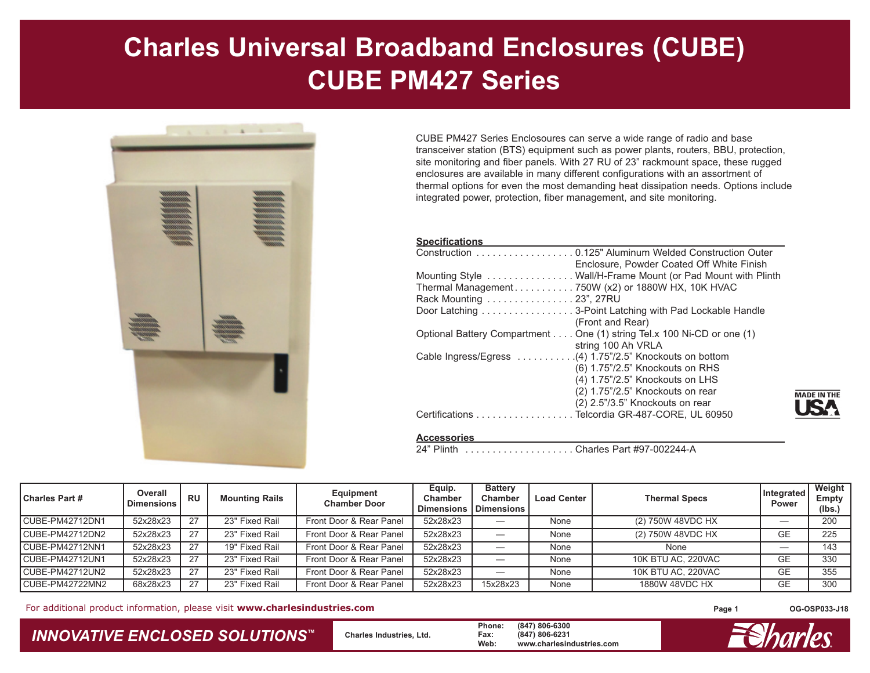# **Charles Universal Broadband Enclosures (CUBE) CUBE PM427 Series**



CUBE PM427 Series Enclosoures can serve a wide range of radio and base transceiver station (BTS) equipment such as power plants, routers, BBU, protection, site monitoring and fiber panels. With 27 RU of 23" rackmount space, these rugged enclosures are available in many different configurations with an assortment of thermal options for even the most demanding heat dissipation needs. Options include integrated power, protection, fiber management, and site monitoring.

### **Specifications**

|                         | Construction 0.125" Aluminum Welded Construction Outer                 |
|-------------------------|------------------------------------------------------------------------|
|                         | Enclosure, Powder Coated Off White Finish                              |
|                         | Mounting Style  Wall/H-Frame Mount (or Pad Mount with Plinth           |
|                         | Thermal Management750W (x2) or 1880W HX, 10K HVAC                      |
| Rack Mounting 23", 27RU |                                                                        |
|                         | Door Latching 3-Point Latching with Pad Lockable Handle                |
|                         | (Front and Rear)                                                       |
|                         | Optional Battery Compartment One (1) string Tel.x 100 Ni-CD or one (1) |
|                         | string 100 Ah VRLA                                                     |
|                         | Cable Ingress/Egress 4) 1.75"/2.5" Knockouts on bottom                 |
|                         | (6) 1.75"/2.5" Knockouts on RHS                                        |
|                         | (4) 1.75"/2.5" Knockouts on LHS                                        |
|                         | $(2)$ 1.75"/2.5" Knockouts on rear                                     |
|                         | $(2)$ 2.5 $\degree$ /3.5 $\degree$ Knockouts on rear                   |
|                         | Certifications Telcordia GR-487-CORE, UL 60950                         |

#### **Accessories**

24" Plinth . . . . . . . . . . . . . . . . . . . . Charles Part #97-002244-A

| <b>Charles Part #</b> | Overall<br><b>Dimensions</b> | <b>RU</b> | <b>Mounting Rails</b> | Equipment<br><b>Chamber Door</b> | Equip.<br><b>Chamber</b><br><b>Dimensions</b> | <b>Battery</b><br><b>Chamber</b><br>Dimensions I | <b>Load Center</b> | <b>Thermal Specs</b> | Integrated<br>Power | Weight<br>Empty<br>(lbs.) |
|-----------------------|------------------------------|-----------|-----------------------|----------------------------------|-----------------------------------------------|--------------------------------------------------|--------------------|----------------------|---------------------|---------------------------|
| CUBE-PM42712DN1       | 52x28x23                     | 27        | 23" Fixed Rail        | Front Door & Rear Panel          | 52x28x23                                      |                                                  | None               | (2) 750W 48VDC HX    |                     | 200                       |
| CUBE-PM42712DN2       | 52x28x23                     | 27        | 23" Fixed Rail        | Front Door & Rear Panel          | 52x28x23                                      |                                                  | None               | (2) 750W 48VDC HX    | GE                  | 225                       |
| CUBE-PM42712NN1       | 52x28x23                     | 27        | 19" Fixed Rail        | Front Door & Rear Panel          | 52x28x23                                      |                                                  | None               | None                 |                     | 143                       |
| CUBE-PM42712UN1       | 52x28x23                     | 27        | 23" Fixed Rail        | Front Door & Rear Panel          | 52x28x23                                      |                                                  | None               | 10K BTU AC, 220VAC   | GE                  | 330                       |
| CUBE-PM42712UN2       | 52x28x23                     | 27        | 23" Fixed Rail        | Front Door & Rear Panel          | 52x28x23                                      |                                                  | None               | 10K BTU AC, 220VAC   | GE                  | 355                       |
| CUBE-PM42722MN2       | 68x28x23                     | 27        | 23" Fixed Rail        | Front Door & Rear Panel          | 52x28x23                                      | 15x28x23                                         | None               | 1880W 48VDC HX       | GЕ                  | 300                       |

For additional product information, please visit **www.charlesindustries.com**

### *INNOVATIVE ENCLOSED SOLUTIONS ™*

 **Charles Industries, Ltd. Phone: (847) 806-6300 Fax: (847) 806-6231 Web: www.charlesindustries.com**



**MADE IN THE** 

**Page 1**

**OG-OSP033-J18**